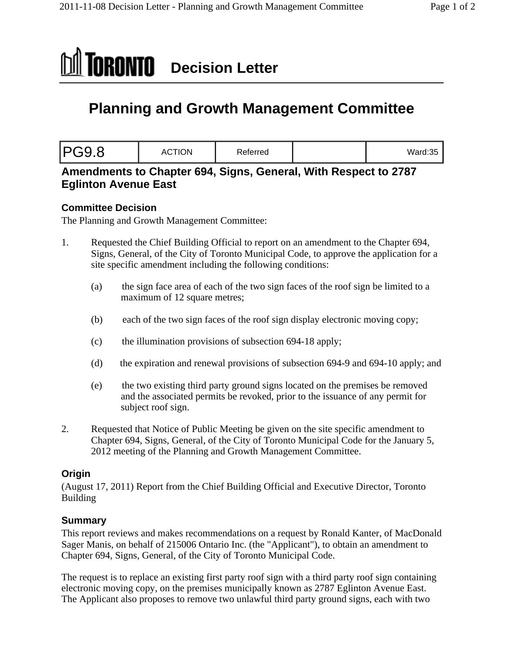

# **Planning and Growth Management Committee**

| Ward: $35$ |  |
|------------|--|
|            |  |

## **Amendments to Chapter 694, Signs, General, With Respect to 2787 Eglinton Avenue East**

### **Committee Decision**

The Planning and Growth Management Committee:

- 1. Requested the Chief Building Official to report on an amendment to the Chapter 694, Signs, General, of the City of Toronto Municipal Code, to approve the application for a site specific amendment including the following conditions:
	- (a) the sign face area of each of the two sign faces of the roof sign be limited to a maximum of 12 square metres;
	- (b) each of the two sign faces of the roof sign display electronic moving copy;
	- (c) the illumination provisions of subsection 694-18 apply;
	- (d) the expiration and renewal provisions of subsection 694-9 and 694-10 apply; and
	- (e) the two existing third party ground signs located on the premises be removed and the associated permits be revoked, prior to the issuance of any permit for subject roof sign.
- 2. Requested that Notice of Public Meeting be given on the site specific amendment to Chapter 694, Signs, General, of the City of Toronto Municipal Code for the January 5, 2012 meeting of the Planning and Growth Management Committee.

### **Origin**

(August 17, 2011) Report from the Chief Building Official and Executive Director, Toronto **Building Building** 

### **Summary**

This report reviews and makes recommendations on a request by Ronald Kanter, of MacDonald Sager Manis, on behalf of 215006 Ontario Inc. (the "Applicant"), to obtain an amendment to Chapter 694, Signs, General, of the City of Toronto Municipal Code.

The request is to replace an existing first party roof sign with a third party roof sign containing electronic moving copy, on the premises municipally known as 2787 Eglinton Avenue East. The Applicant also proposes to remove two unlawful third party ground signs, each with two